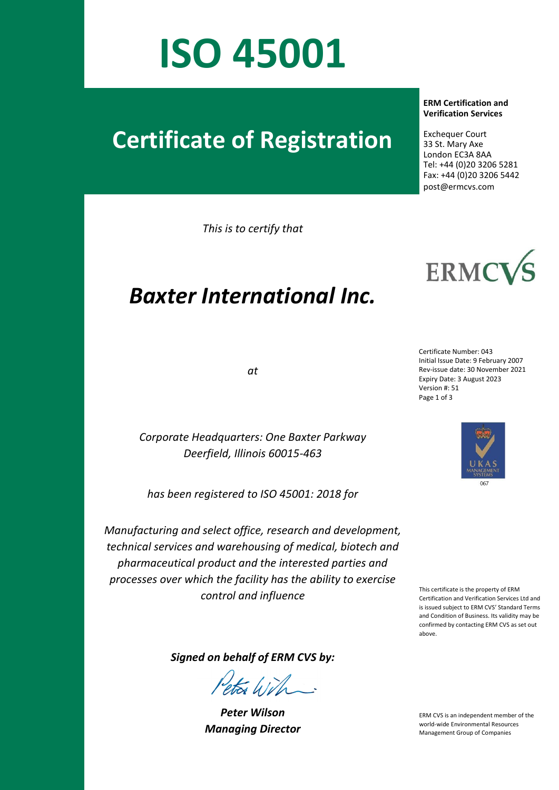## **ISO 45001**

## **Certificate of Registration**

*This is to certify that*

## *Baxter International Inc.*

*at*

*Corporate Headquarters: One Baxter Parkway Deerfield, Illinois 60015-463*

*has been registered to ISO 45001: 2018 for*

*Manufacturing and select office, research and development, technical services and warehousing of medical, biotech and pharmaceutical product and the interested parties and processes over which the facility has the ability to exercise*  This certificate is the property of ERM<br>Control and influence<br>Certification and Verification Services

 **ERM Certification and Verification Services**

 Exchequer Court 33 St. Mary Axe London EC3A 8AA Tel: +44 (0)20 3206 5281 Fax: +44 (0)20 3206 5442 post@ermcvs.com



Certificate Number: 043 Initial Issue Date: 9 February 2007 Rev-issue date: 30 November 2021 Expiry Date: 3 August 2023 Version #: 51 Page 1 of 3



Certification and Verification Services Ltd and is issued subject to ERM CVS' Standard Terms and Condition of Business. Its validity may be confirmed by contacting ERM CVS as set out above.

*Signed on behalf of ERM CVS by:*

*Peter Wilson Managing Director* 

ERM CVS is an independent member of the world-wide Environmental Resources Management Group of Companies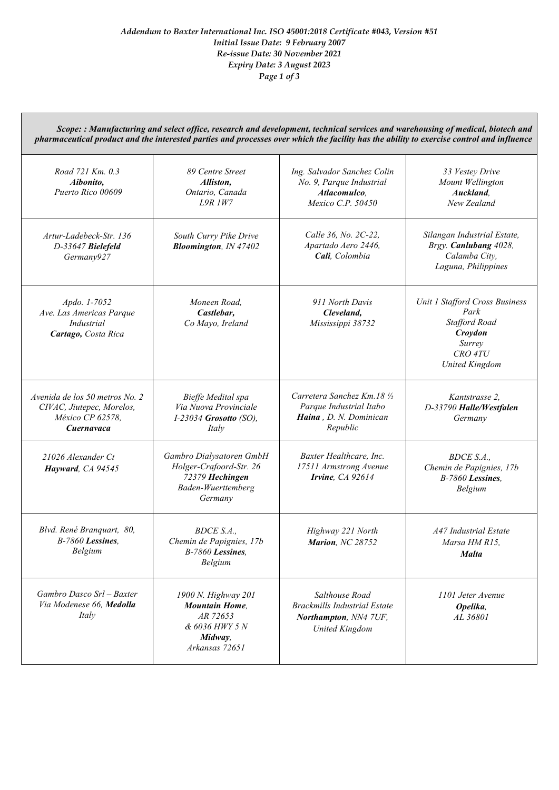*Scope: : Manufacturing and select office, research and development, technical services and warehousing of medical, biotech and pharmaceutical product and the interested parties and processes over which the facility has the ability to exercise control and influence*

| Road 721 Km, 0.3<br>Aibonito,<br>Puerto Rico 00609                                            | 89 Centre Street<br>Alliston,<br>Ontario, Canada<br>$I.9R$ $I W7$                                       | Ing. Salvador Sanchez Colin<br>No. 9, Parque Industrial<br>Atlacomulco,<br>Mexico C.P. 50450            | 33 Vestey Drive<br>Mount Wellington<br>Auckland.<br>New Zealand                                                         |
|-----------------------------------------------------------------------------------------------|---------------------------------------------------------------------------------------------------------|---------------------------------------------------------------------------------------------------------|-------------------------------------------------------------------------------------------------------------------------|
| Artur-Ladebeck-Str. 136<br>D-33647 Bielefeld<br>Germany927                                    | South Curry Pike Drive<br><b>Bloomington</b> , IN 47402                                                 | Calle 36, No. 2C-22,<br>Apartado Aero 2446,<br>Cali, Colombia                                           | Silangan Industrial Estate,<br>Brgy. Canlubang 4028,<br>Calamba City,<br>Laguna, Philippines                            |
| Apdo. 1-7052<br>Ave. Las Americas Parque<br>Industrial<br>Cartago, Costa Rica                 | Moneen Road.<br>Castlebar,<br>Co Mayo, Ireland                                                          | 911 North Davis<br>Cleveland,<br>Mississippi 38732                                                      | Unit 1 Stafford Cross Business<br>Park<br><b>Stafford Road</b><br>Croydon<br>Surrey<br>CRO 4TU<br><b>United Kingdom</b> |
| Avenida de los 50 metros No. 2<br>CIVAC, Jiutepec, Morelos,<br>México CP 62578,<br>Cuernavaca | Bieffe Medital spa<br>Via Nuova Provinciale<br>$I-23034$ Grosotto (SO),<br>Italy                        | Carretera Sanchez Km.18 1/2<br>Parque Industrial Itabo<br>Haina, D. N. Dominican<br>Republic            | Kantstrasse 2.<br>D-33790 Halle/Westfalen<br>Germany                                                                    |
| 21026 Alexander Ct<br>Hayward, CA 94545                                                       | Gambro Dialysatoren GmbH<br>Holger-Crafoord-Str. 26<br>72379 Hechingen<br>Baden-Wuerttemberg<br>Germany | Baxter Healthcare, Inc.<br>17511 Armstrong Avenue<br>Irvine, CA 92614                                   | BDCE S.A.,<br>Chemin de Papignies, 17b<br>B-7860 Lessines,<br>Belgium                                                   |
| Blvd. René Branquart, 80,<br>$B-7860$ Lessines.<br>Belgium                                    | BDCE S.A.,<br>Chemin de Papignies, 17b<br>B-7860 Lessines.<br>Belgium                                   | Highway 221 North<br>Marion, NC 28752                                                                   | <b>A47 Industrial Estate</b><br>Marsa HM R15,<br><b>Malta</b>                                                           |
| Gambro Dasco Srl - Baxter<br>Via Modenese 66, Medolla<br>Italy                                | 1900 N. Highway 201<br><b>Mountain Home,</b><br>AR 72653<br>& 6036 HWY 5 N<br>Midway,<br>Arkansas 72651 | Salthouse Road<br><b>Brackmills Industrial Estate</b><br>Northampton, NN4 7UF,<br><b>United Kingdom</b> | 1101 Jeter Avenue<br>Opelika,<br>AL 36801                                                                               |